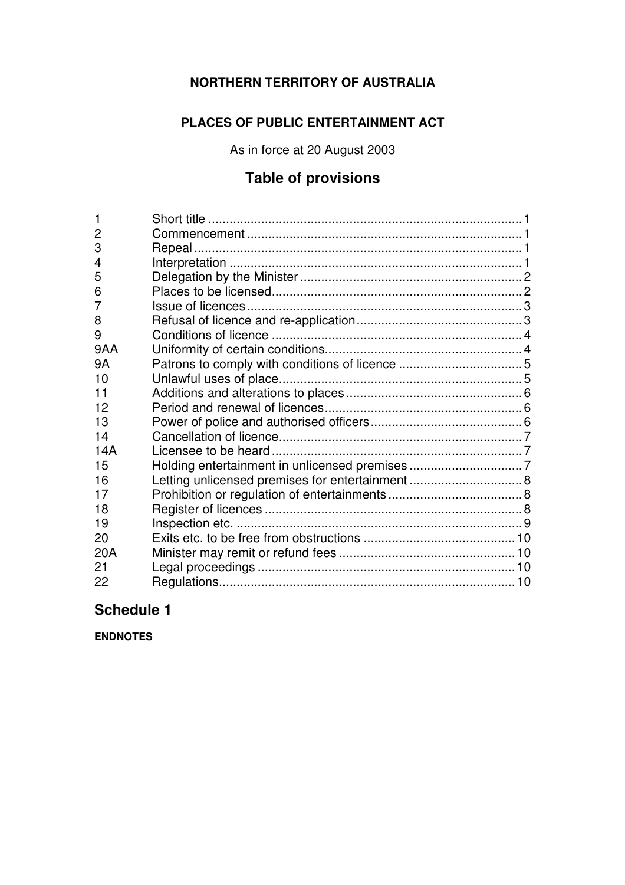# **NORTHERN TERRITORY OF AUSTRALIA**

# **PLACES OF PUBLIC ENTERTAINMENT ACT**

As in force at 20 August 2003

# **Table of provisions**

| 1              |  |
|----------------|--|
| $\overline{2}$ |  |
| 3              |  |
| 4              |  |
| 5              |  |
| 6              |  |
| 7              |  |
| 8              |  |
| 9              |  |
| 9AA            |  |
| <b>9A</b>      |  |
| 10             |  |
| 11             |  |
| 12             |  |
| 13             |  |
| 14             |  |
| 14A            |  |
| 15             |  |
| 16             |  |
| 17             |  |
| 18             |  |
| 19             |  |
| 20             |  |
| 20A            |  |
| 21             |  |
| 22             |  |
|                |  |

# **Schedule 1**

**ENDNOTES**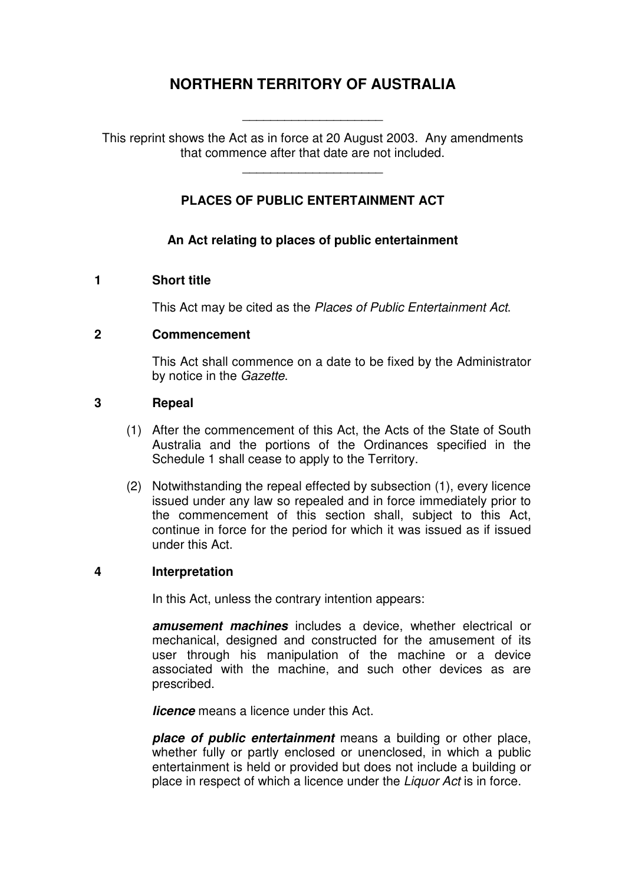# **NORTHERN TERRITORY OF AUSTRALIA**

This reprint shows the Act as in force at 20 August 2003. Any amendments that commence after that date are not included.

\_\_\_\_\_\_\_\_\_\_\_\_\_\_\_\_\_\_\_\_

\_\_\_\_\_\_\_\_\_\_\_\_\_\_\_\_\_\_\_\_

## **PLACES OF PUBLIC ENTERTAINMENT ACT**

#### **An Act relating to places of public entertainment**

#### **1 Short title**

This Act may be cited as the Places of Public Entertainment Act.

#### **2 Commencement**

This Act shall commence on a date to be fixed by the Administrator by notice in the Gazette.

#### **3 Repeal**

- (1) After the commencement of this Act, the Acts of the State of South Australia and the portions of the Ordinances specified in the Schedule 1 shall cease to apply to the Territory.
- (2) Notwithstanding the repeal effected by subsection (1), every licence issued under any law so repealed and in force immediately prior to the commencement of this section shall, subject to this Act, continue in force for the period for which it was issued as if issued under this Act.

#### **4 Interpretation**

In this Act, unless the contrary intention appears:

**amusement machines** includes a device, whether electrical or mechanical, designed and constructed for the amusement of its user through his manipulation of the machine or a device associated with the machine, and such other devices as are prescribed.

**licence** means a licence under this Act.

**place of public entertainment** means a building or other place, whether fully or partly enclosed or unenclosed, in which a public entertainment is held or provided but does not include a building or place in respect of which a licence under the Liquor Act is in force.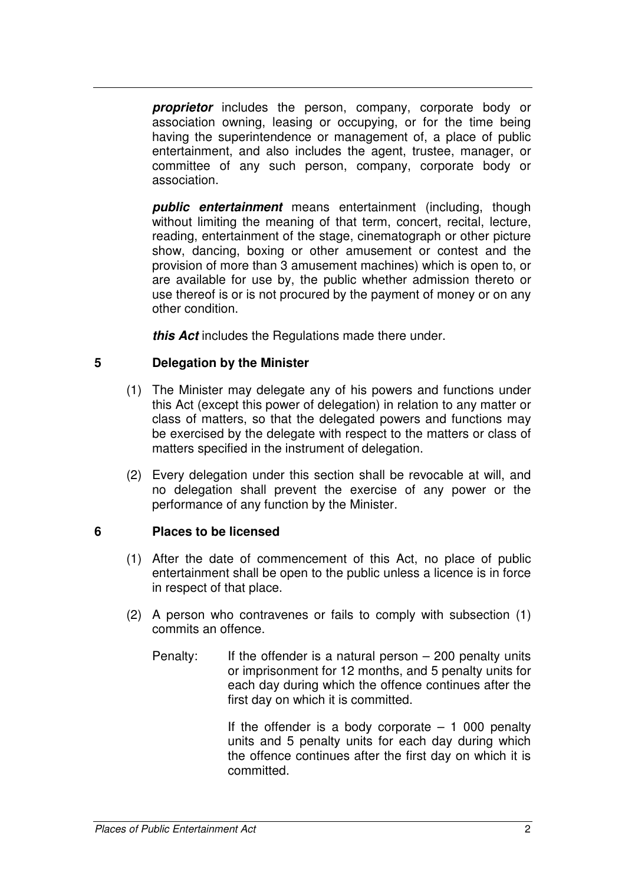**proprietor** includes the person, company, corporate body or association owning, leasing or occupying, or for the time being having the superintendence or management of, a place of public entertainment, and also includes the agent, trustee, manager, or committee of any such person, company, corporate body or association.

**public entertainment** means entertainment (including, though without limiting the meaning of that term, concert, recital, lecture, reading, entertainment of the stage, cinematograph or other picture show, dancing, boxing or other amusement or contest and the provision of more than 3 amusement machines) which is open to, or are available for use by, the public whether admission thereto or use thereof is or is not procured by the payment of money or on any other condition.

**this Act** includes the Regulations made there under.

#### **5 Delegation by the Minister**

- (1) The Minister may delegate any of his powers and functions under this Act (except this power of delegation) in relation to any matter or class of matters, so that the delegated powers and functions may be exercised by the delegate with respect to the matters or class of matters specified in the instrument of delegation.
- (2) Every delegation under this section shall be revocable at will, and no delegation shall prevent the exercise of any power or the performance of any function by the Minister.

#### **6 Places to be licensed**

- (1) After the date of commencement of this Act, no place of public entertainment shall be open to the public unless a licence is in force in respect of that place.
- (2) A person who contravenes or fails to comply with subsection (1) commits an offence.
	- Penalty: If the offender is a natural person  $-200$  penalty units or imprisonment for 12 months, and 5 penalty units for each day during which the offence continues after the first day on which it is committed.

If the offender is a body corporate  $-1$  000 penalty units and 5 penalty units for each day during which the offence continues after the first day on which it is committed.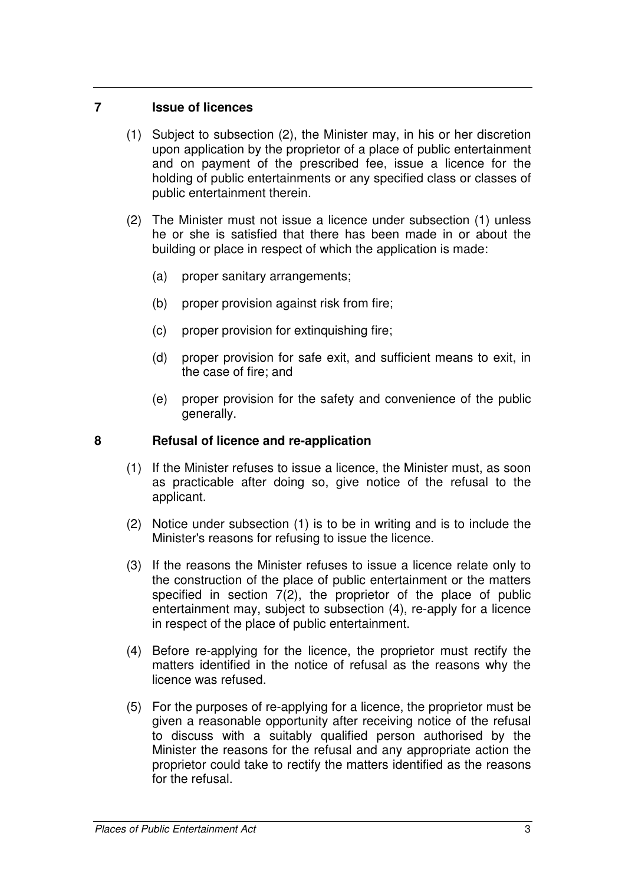#### **7 Issue of licences**

- (1) Subject to subsection (2), the Minister may, in his or her discretion upon application by the proprietor of a place of public entertainment and on payment of the prescribed fee, issue a licence for the holding of public entertainments or any specified class or classes of public entertainment therein.
- (2) The Minister must not issue a licence under subsection (1) unless he or she is satisfied that there has been made in or about the building or place in respect of which the application is made:
	- (a) proper sanitary arrangements;
	- (b) proper provision against risk from fire;
	- (c) proper provision for extinquishing fire;
	- (d) proper provision for safe exit, and sufficient means to exit, in the case of fire; and
	- (e) proper provision for the safety and convenience of the public generally.

#### **8 Refusal of licence and re-application**

- (1) If the Minister refuses to issue a licence, the Minister must, as soon as practicable after doing so, give notice of the refusal to the applicant.
- (2) Notice under subsection (1) is to be in writing and is to include the Minister's reasons for refusing to issue the licence.
- (3) If the reasons the Minister refuses to issue a licence relate only to the construction of the place of public entertainment or the matters specified in section 7(2), the proprietor of the place of public entertainment may, subject to subsection (4), re-apply for a licence in respect of the place of public entertainment.
- (4) Before re-applying for the licence, the proprietor must rectify the matters identified in the notice of refusal as the reasons why the licence was refused.
- (5) For the purposes of re-applying for a licence, the proprietor must be given a reasonable opportunity after receiving notice of the refusal to discuss with a suitably qualified person authorised by the Minister the reasons for the refusal and any appropriate action the proprietor could take to rectify the matters identified as the reasons for the refusal.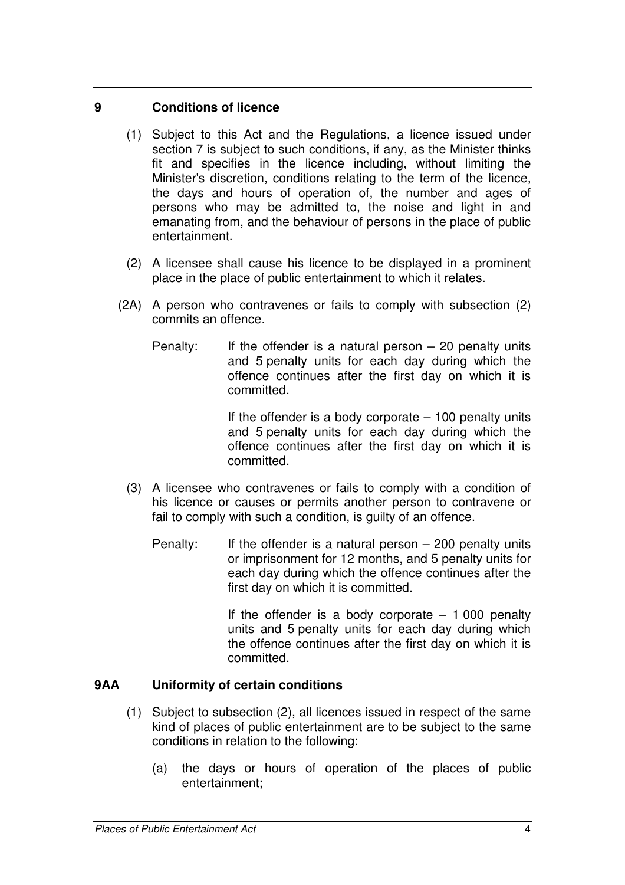## **9 Conditions of licence**

- (1) Subject to this Act and the Regulations, a licence issued under section 7 is subject to such conditions, if any, as the Minister thinks fit and specifies in the licence including, without limiting the Minister's discretion, conditions relating to the term of the licence, the days and hours of operation of, the number and ages of persons who may be admitted to, the noise and light in and emanating from, and the behaviour of persons in the place of public entertainment.
- (2) A licensee shall cause his licence to be displayed in a prominent place in the place of public entertainment to which it relates.
- (2A) A person who contravenes or fails to comply with subsection (2) commits an offence.
	- Penalty: If the offender is a natural person  $-20$  penalty units and 5 penalty units for each day during which the offence continues after the first day on which it is committed.

If the offender is a body corporate  $-100$  penalty units and 5 penalty units for each day during which the offence continues after the first day on which it is committed.

- (3) A licensee who contravenes or fails to comply with a condition of his licence or causes or permits another person to contravene or fail to comply with such a condition, is guilty of an offence.
	- Penalty: If the offender is a natural person  $-200$  penalty units or imprisonment for 12 months, and 5 penalty units for each day during which the offence continues after the first day on which it is committed.

If the offender is a body corporate  $-1000$  penalty units and 5 penalty units for each day during which the offence continues after the first day on which it is committed.

## **9AA Uniformity of certain conditions**

- (1) Subject to subsection (2), all licences issued in respect of the same kind of places of public entertainment are to be subject to the same conditions in relation to the following:
	- (a) the days or hours of operation of the places of public entertainment;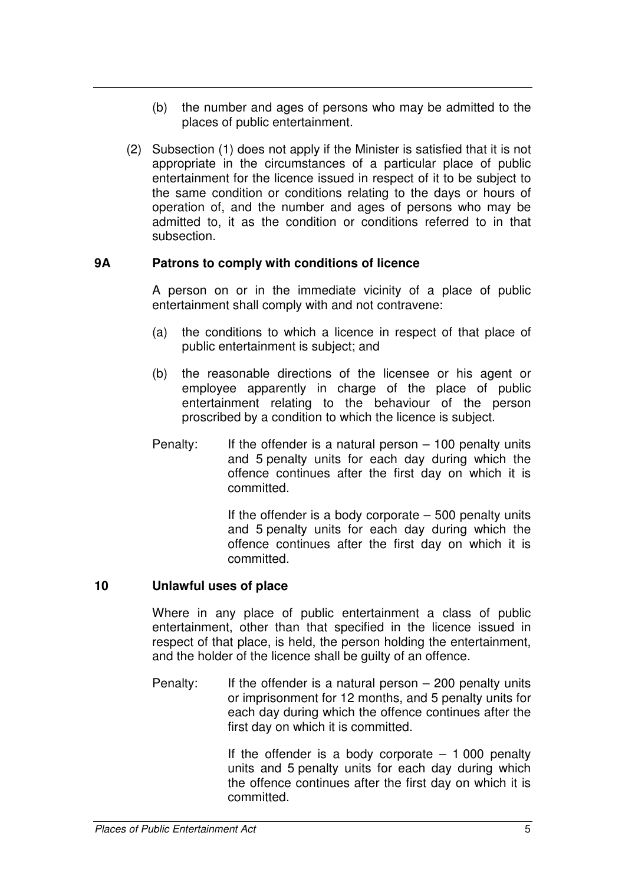- (b) the number and ages of persons who may be admitted to the places of public entertainment.
- (2) Subsection (1) does not apply if the Minister is satisfied that it is not appropriate in the circumstances of a particular place of public entertainment for the licence issued in respect of it to be subject to the same condition or conditions relating to the days or hours of operation of, and the number and ages of persons who may be admitted to, it as the condition or conditions referred to in that subsection.

#### **9A Patrons to comply with conditions of licence**

A person on or in the immediate vicinity of a place of public entertainment shall comply with and not contravene:

- (a) the conditions to which a licence in respect of that place of public entertainment is subject; and
- (b) the reasonable directions of the licensee or his agent or employee apparently in charge of the place of public entertainment relating to the behaviour of the person proscribed by a condition to which the licence is subject.
- Penalty: If the offender is a natural person  $-100$  penalty units and 5 penalty units for each day during which the offence continues after the first day on which it is committed.

If the offender is a body corporate  $-500$  penalty units and 5 penalty units for each day during which the offence continues after the first day on which it is committed.

#### **10 Unlawful uses of place**

Where in any place of public entertainment a class of public entertainment, other than that specified in the licence issued in respect of that place, is held, the person holding the entertainment, and the holder of the licence shall be guilty of an offence.

Penalty: If the offender is a natural person  $-200$  penalty units or imprisonment for 12 months, and 5 penalty units for each day during which the offence continues after the first day on which it is committed.

> If the offender is a body corporate  $-1000$  penalty units and 5 penalty units for each day during which the offence continues after the first day on which it is committed.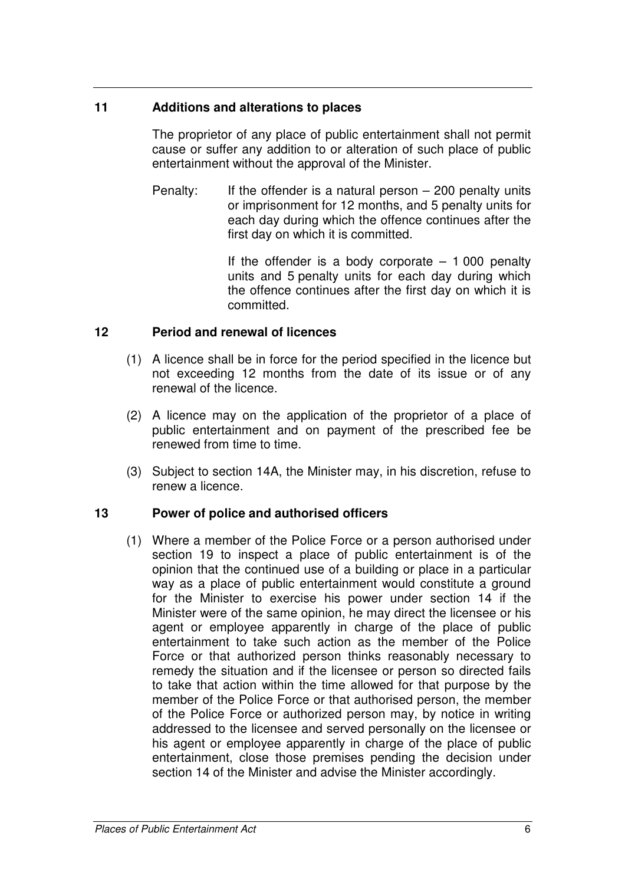## **11 Additions and alterations to places**

The proprietor of any place of public entertainment shall not permit cause or suffer any addition to or alteration of such place of public entertainment without the approval of the Minister.

Penalty: If the offender is a natural person – 200 penalty units or imprisonment for 12 months, and 5 penalty units for each day during which the offence continues after the first day on which it is committed.

> If the offender is a body corporate  $-1000$  penalty units and 5 penalty units for each day during which the offence continues after the first day on which it is committed.

## **12 Period and renewal of licences**

- (1) A licence shall be in force for the period specified in the licence but not exceeding 12 months from the date of its issue or of any renewal of the licence.
- (2) A licence may on the application of the proprietor of a place of public entertainment and on payment of the prescribed fee be renewed from time to time.
- (3) Subject to section 14A, the Minister may, in his discretion, refuse to renew a licence.

## **13 Power of police and authorised officers**

 (1) Where a member of the Police Force or a person authorised under section 19 to inspect a place of public entertainment is of the opinion that the continued use of a building or place in a particular way as a place of public entertainment would constitute a ground for the Minister to exercise his power under section 14 if the Minister were of the same opinion, he may direct the licensee or his agent or employee apparently in charge of the place of public entertainment to take such action as the member of the Police Force or that authorized person thinks reasonably necessary to remedy the situation and if the licensee or person so directed fails to take that action within the time allowed for that purpose by the member of the Police Force or that authorised person, the member of the Police Force or authorized person may, by notice in writing addressed to the licensee and served personally on the licensee or his agent or employee apparently in charge of the place of public entertainment, close those premises pending the decision under section 14 of the Minister and advise the Minister accordingly.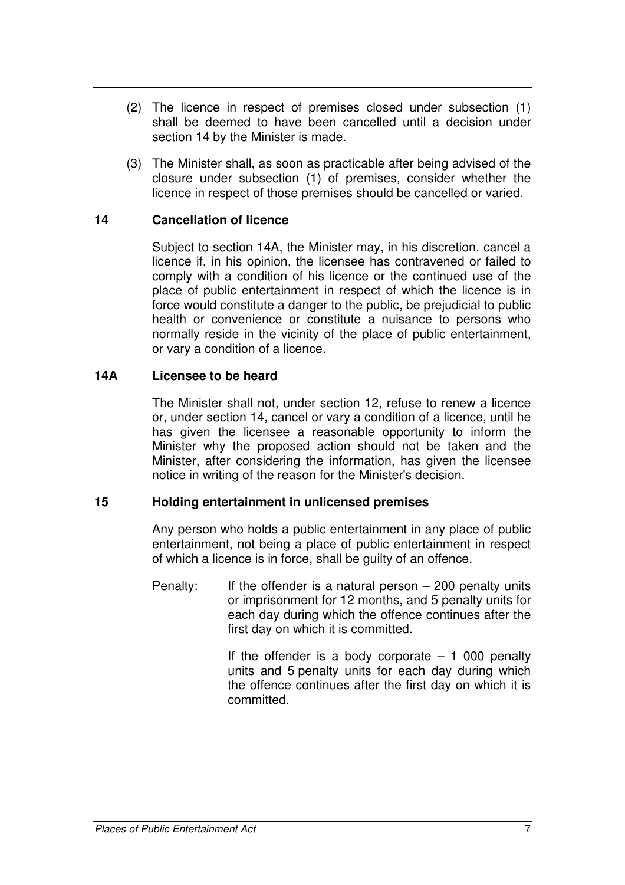- (2) The licence in respect of premises closed under subsection (1) shall be deemed to have been cancelled until a decision under section 14 by the Minister is made.
- (3) The Minister shall, as soon as practicable after being advised of the closure under subsection (1) of premises, consider whether the licence in respect of those premises should be cancelled or varied.

#### **14 Cancellation of licence**

Subject to section 14A, the Minister may, in his discretion, cancel a licence if, in his opinion, the licensee has contravened or failed to comply with a condition of his licence or the continued use of the place of public entertainment in respect of which the licence is in force would constitute a danger to the public, be prejudicial to public health or convenience or constitute a nuisance to persons who normally reside in the vicinity of the place of public entertainment, or vary a condition of a licence.

#### **14A Licensee to be heard**

The Minister shall not, under section 12, refuse to renew a licence or, under section 14, cancel or vary a condition of a licence, until he has given the licensee a reasonable opportunity to inform the Minister why the proposed action should not be taken and the Minister, after considering the information, has given the licensee notice in writing of the reason for the Minister's decision.

#### **15 Holding entertainment in unlicensed premises**

Any person who holds a public entertainment in any place of public entertainment, not being a place of public entertainment in respect of which a licence is in force, shall be guilty of an offence.

Penalty: If the offender is a natural person  $-200$  penalty units or imprisonment for 12 months, and 5 penalty units for each day during which the offence continues after the first day on which it is committed.

> If the offender is a body corporate  $-1$  000 penalty units and 5 penalty units for each day during which the offence continues after the first day on which it is committed.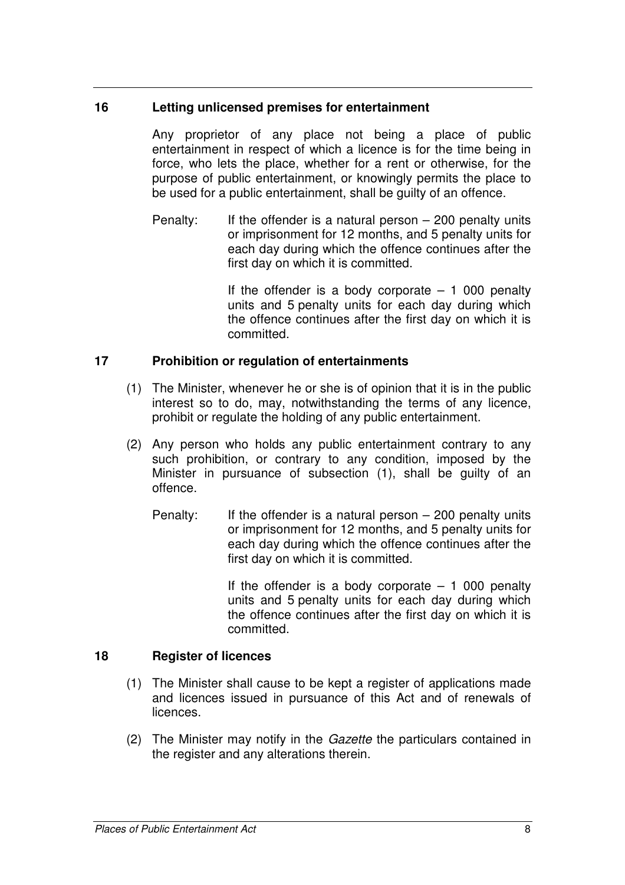#### **16 Letting unlicensed premises for entertainment**

Any proprietor of any place not being a place of public entertainment in respect of which a licence is for the time being in force, who lets the place, whether for a rent or otherwise, for the purpose of public entertainment, or knowingly permits the place to be used for a public entertainment, shall be guilty of an offence.

Penalty: If the offender is a natural person  $-200$  penalty units or imprisonment for 12 months, and 5 penalty units for each day during which the offence continues after the first day on which it is committed.

> If the offender is a body corporate  $-1$  000 penalty units and 5 penalty units for each day during which the offence continues after the first day on which it is committed.

#### **17 Prohibition or regulation of entertainments**

- (1) The Minister, whenever he or she is of opinion that it is in the public interest so to do, may, notwithstanding the terms of any licence, prohibit or regulate the holding of any public entertainment.
- (2) Any person who holds any public entertainment contrary to any such prohibition, or contrary to any condition, imposed by the Minister in pursuance of subsection (1), shall be guilty of an offence.
	- Penalty: If the offender is a natural person  $-200$  penalty units or imprisonment for 12 months, and 5 penalty units for each day during which the offence continues after the first day on which it is committed.

If the offender is a body corporate  $-1$  000 penalty units and 5 penalty units for each day during which the offence continues after the first day on which it is committed.

#### **18 Register of licences**

- (1) The Minister shall cause to be kept a register of applications made and licences issued in pursuance of this Act and of renewals of licences.
- (2) The Minister may notify in the Gazette the particulars contained in the register and any alterations therein.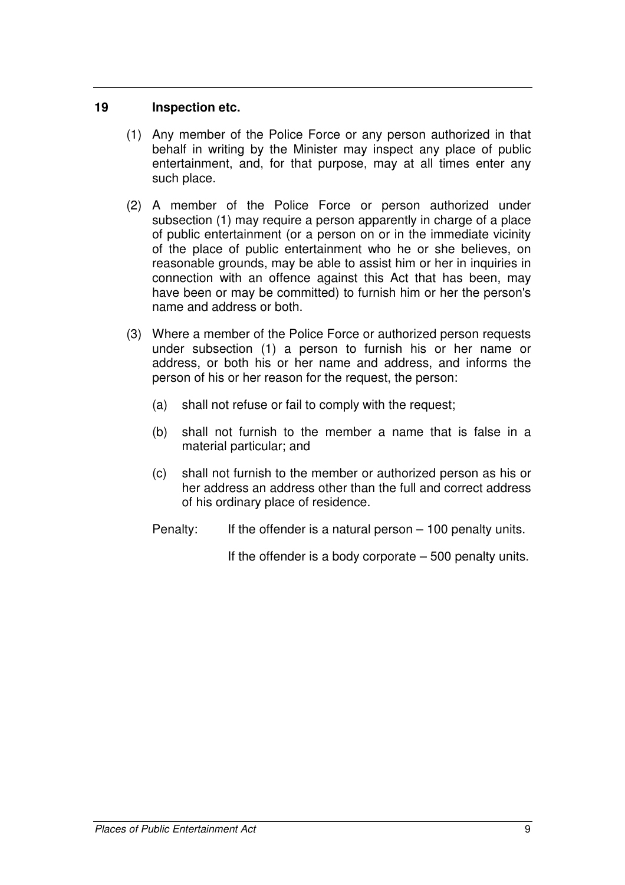#### **19 Inspection etc.**

- (1) Any member of the Police Force or any person authorized in that behalf in writing by the Minister may inspect any place of public entertainment, and, for that purpose, may at all times enter any such place.
- (2) A member of the Police Force or person authorized under subsection (1) may require a person apparently in charge of a place of public entertainment (or a person on or in the immediate vicinity of the place of public entertainment who he or she believes, on reasonable grounds, may be able to assist him or her in inquiries in connection with an offence against this Act that has been, may have been or may be committed) to furnish him or her the person's name and address or both.
- (3) Where a member of the Police Force or authorized person requests under subsection (1) a person to furnish his or her name or address, or both his or her name and address, and informs the person of his or her reason for the request, the person:
	- (a) shall not refuse or fail to comply with the request;
	- (b) shall not furnish to the member a name that is false in a material particular; and
	- (c) shall not furnish to the member or authorized person as his or her address an address other than the full and correct address of his ordinary place of residence.
	- Penalty: If the offender is a natural person 100 penalty units.

If the offender is a body corporate  $-500$  penalty units.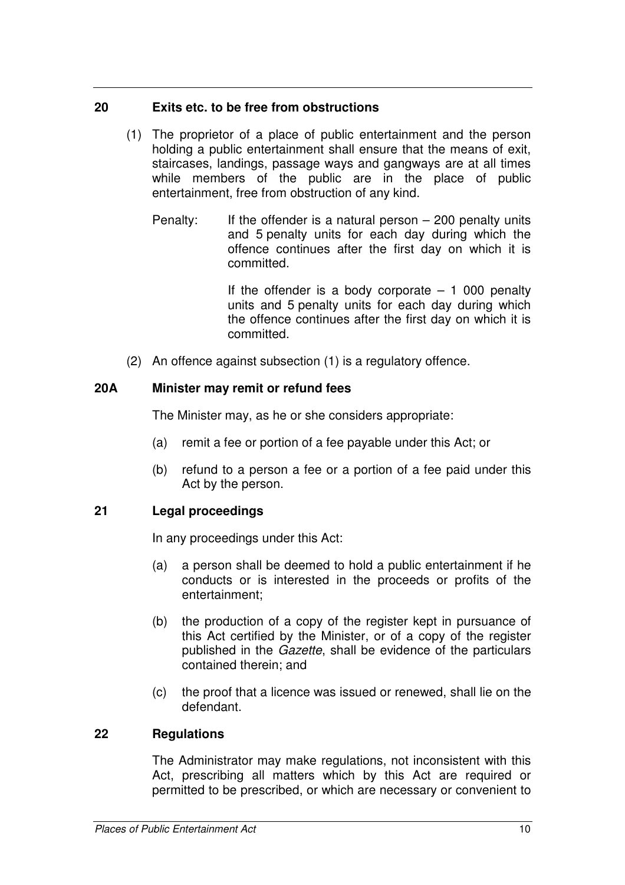#### **20 Exits etc. to be free from obstructions**

- (1) The proprietor of a place of public entertainment and the person holding a public entertainment shall ensure that the means of exit, staircases, landings, passage ways and gangways are at all times while members of the public are in the place of public entertainment, free from obstruction of any kind.
	- Penalty: If the offender is a natural person  $-200$  penalty units and 5 penalty units for each day during which the offence continues after the first day on which it is committed.

If the offender is a body corporate  $-1$  000 penalty units and 5 penalty units for each day during which the offence continues after the first day on which it is committed.

(2) An offence against subsection (1) is a regulatory offence.

#### **20A Minister may remit or refund fees**

The Minister may, as he or she considers appropriate:

- (a) remit a fee or portion of a fee payable under this Act; or
- (b) refund to a person a fee or a portion of a fee paid under this Act by the person.

#### **21 Legal proceedings**

In any proceedings under this Act:

- (a) a person shall be deemed to hold a public entertainment if he conducts or is interested in the proceeds or profits of the entertainment;
- (b) the production of a copy of the register kept in pursuance of this Act certified by the Minister, or of a copy of the register published in the Gazette, shall be evidence of the particulars contained therein; and
- (c) the proof that a licence was issued or renewed, shall lie on the defendant.

#### **22 Regulations**

The Administrator may make regulations, not inconsistent with this Act, prescribing all matters which by this Act are required or permitted to be prescribed, or which are necessary or convenient to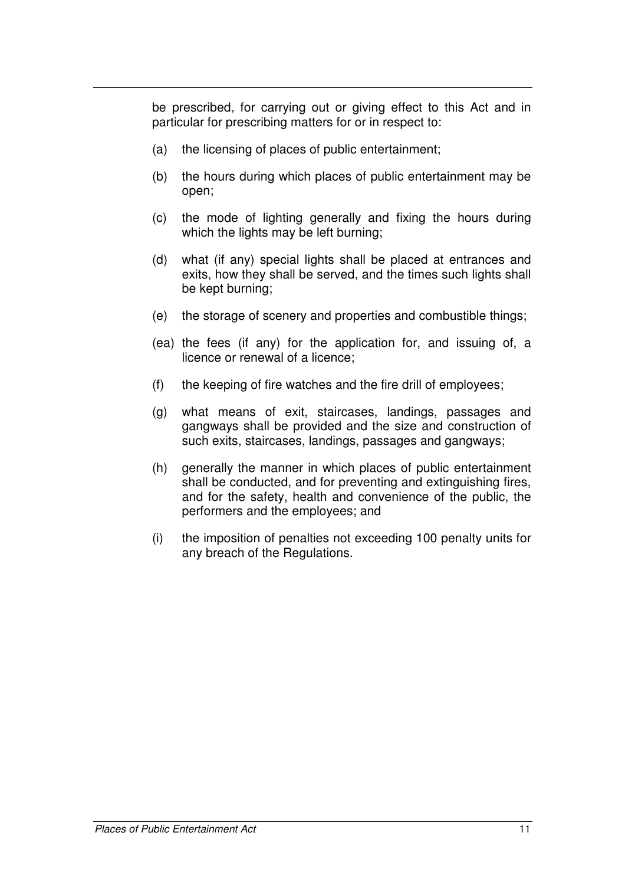be prescribed, for carrying out or giving effect to this Act and in particular for prescribing matters for or in respect to:

- (a) the licensing of places of public entertainment;
- (b) the hours during which places of public entertainment may be open;
- (c) the mode of lighting generally and fixing the hours during which the lights may be left burning;
- (d) what (if any) special lights shall be placed at entrances and exits, how they shall be served, and the times such lights shall be kept burning;
- (e) the storage of scenery and properties and combustible things;
- (ea) the fees (if any) for the application for, and issuing of, a licence or renewal of a licence;
- (f) the keeping of fire watches and the fire drill of employees;
- (g) what means of exit, staircases, landings, passages and gangways shall be provided and the size and construction of such exits, staircases, landings, passages and gangways;
- (h) generally the manner in which places of public entertainment shall be conducted, and for preventing and extinguishing fires, and for the safety, health and convenience of the public, the performers and the employees; and
- (i) the imposition of penalties not exceeding 100 penalty units for any breach of the Regulations.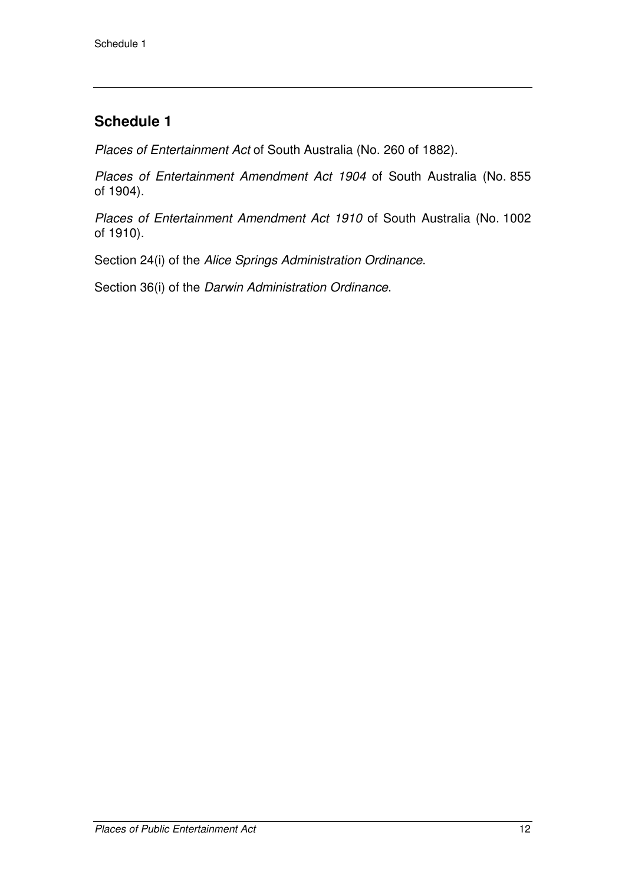# **Schedule 1**

Places of Entertainment Act of South Australia (No. 260 of 1882).

Places of Entertainment Amendment Act 1904 of South Australia (No. 855 of 1904).

Places of Entertainment Amendment Act 1910 of South Australia (No. 1002 of 1910).

Section 24(i) of the Alice Springs Administration Ordinance.

Section 36(i) of the *Darwin Administration Ordinance*.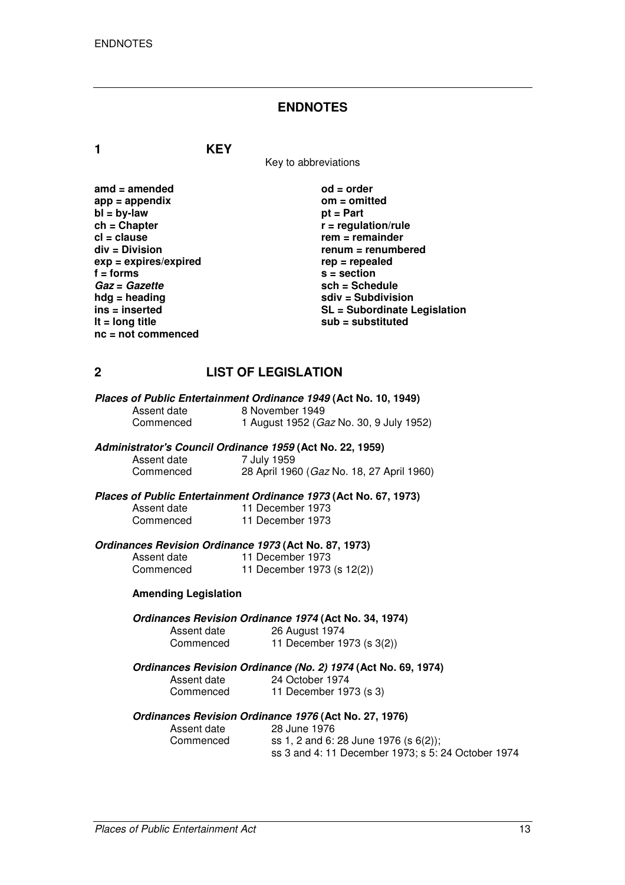#### **ENDNOTES**

**1 KEY**

Key to abbreviations

amd = amended od = order<br>
app = appendix **butch** on = omitted app = appendix om = om<br>bl = by-law bt = Part **bl** = by-law<br>ch = Chapter ch = Chapter **ch = Chapter**  $r = \text{regularity}$ <br>
cl = clause **r** = regulation/rule **cl** = clause rem = remainder<br>div = Division renum = renumb  $exp = exp$ **ires/expired**<br>**f** = forms **Gaz = Gazette sch = Schedule hdg = heading solid solid solid solid solid solid solid solid solid solid solid solid solid solid solid solid solid solid solid solid solid solid solid solid solid solid solid solid solid solid solid solid solid solid sol lt = long title sub = substituted and sub = substituted in the substituted in the substituted in the substituted nc = not commenced** 

**renum = renumbered<br>rep = repealed f = forms s = section ins = inserted SL = Subordinate Legislation** 

#### **2 LIST OF LEGISLATION**

|             | Places of Public Entertainment Ordinance 1949 (Act No. 10, 1949) |
|-------------|------------------------------------------------------------------|
| Assent date | 8 November 1949                                                  |
| Commenced   | 1 August 1952 ( <i>Gaz</i> No. 30, 9 July 1952)                  |

## **Administrator's Council Ordinance 1959 (Act No. 22, 1959)**

Assent date 7 July 1959 Commenced 28 April 1960 (Gaz No. 18, 27 April 1960)

**Places of Public Entertainment Ordinance 1973 (Act No. 67, 1973)** 

| Assent date | 11 December 1973 |
|-------------|------------------|
| Commenced   | 11 December 1973 |

#### **Ordinances Revision Ordinance 1973 (Act No. 87, 1973)**

Assent date 11 December 1973 Commenced 11 December 1973 (s 12(2))

#### **Amending Legislation**

**Ordinances Revision Ordinance 1974 (Act No. 34, 1974)**

Assent date 26 August 1974

Commenced 11 December 1973 (s 3(2))

#### **Ordinances Revision Ordinance (No. 2) 1974 (Act No. 69, 1974)**

| Assent date | 24 October 1974 |
|-------------|-----------------|
| Commoncod   | 11 December 197 |

Commenced 11 December 1973 (s 3)

#### **Ordinances Revision Ordinance 1976 (Act No. 27, 1976)**

| Assent date | 28 June 1976                                       |
|-------------|----------------------------------------------------|
| Commenced   | ss 1, 2 and 6: 28 June 1976 (s $6(2)$ );           |
|             | ss 3 and 4: 11 December 1973; s 5: 24 October 1974 |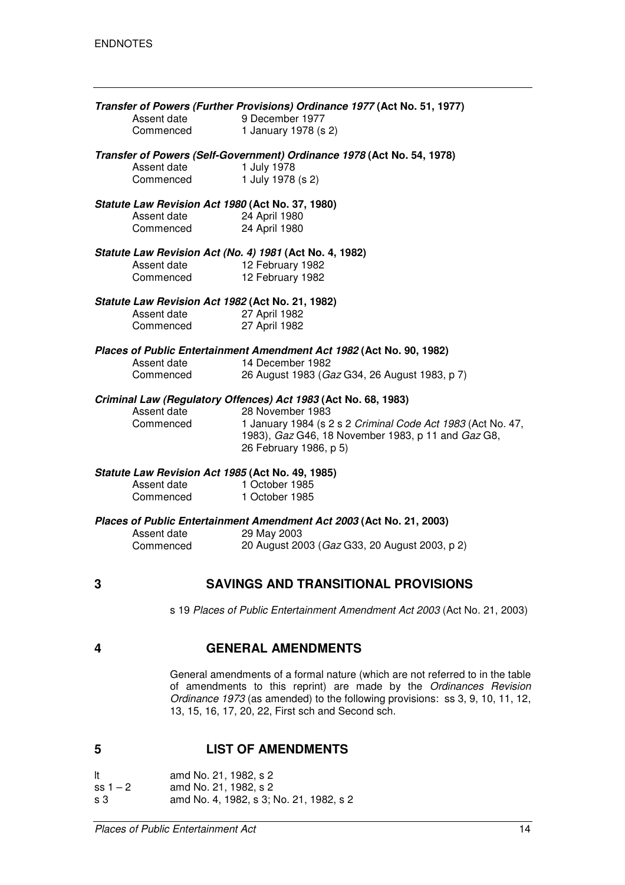|   | Assent date<br>Commenced | Transfer of Powers (Further Provisions) Ordinance 1977 (Act No. 51, 1977)<br>9 December 1977<br>1 January 1978 (s 2)                                                                                                              |
|---|--------------------------|-----------------------------------------------------------------------------------------------------------------------------------------------------------------------------------------------------------------------------------|
|   | Assent date<br>Commenced | Transfer of Powers (Self-Government) Ordinance 1978 (Act No. 54, 1978)<br>1 July 1978<br>1 July 1978 (s 2)                                                                                                                        |
|   | Assent date<br>Commenced | Statute Law Revision Act 1980 (Act No. 37, 1980)<br>24 April 1980<br>24 April 1980                                                                                                                                                |
|   | Assent date<br>Commenced | Statute Law Revision Act (No. 4) 1981 (Act No. 4, 1982)<br>12 February 1982<br>12 February 1982                                                                                                                                   |
|   | Assent date<br>Commenced | Statute Law Revision Act 1982 (Act No. 21, 1982)<br>27 April 1982<br>27 April 1982                                                                                                                                                |
|   | Assent date<br>Commenced | Places of Public Entertainment Amendment Act 1982 (Act No. 90, 1982)<br>14 December 1982<br>26 August 1983 (Gaz G34, 26 August 1983, p 7)                                                                                         |
|   | Assent date<br>Commenced | Criminal Law (Regulatory Offences) Act 1983 (Act No. 68, 1983)<br>28 November 1983<br>1 January 1984 (s 2 s 2 Criminal Code Act 1983 (Act No. 47,<br>1983), Gaz G46, 18 November 1983, p 11 and Gaz G8,<br>26 February 1986, p 5) |
|   | Assent date<br>Commenced | Statute Law Revision Act 1985 (Act No. 49, 1985)<br>1 October 1985<br>1 October 1985                                                                                                                                              |
|   | Assent date<br>Commenced | Places of Public Entertainment Amendment Act 2003 (Act No. 21, 2003)<br>29 May 2003<br>20 August 2003 (Gaz G33, 20 August 2003, p 2)                                                                                              |
| 3 |                          | <b>SAVINGS AND TRANSITIONAL PROVISIONS</b>                                                                                                                                                                                        |

s 19 Places of Public Entertainment Amendment Act 2003 (Act No. 21, 2003)

#### **4 GENERAL AMENDMENTS**

General amendments of a formal nature (which are not referred to in the table of amendments to this reprint) are made by the Ordinances Revision Ordinance 1973 (as amended) to the following provisions: ss 3, 9, 10, 11, 12, 13, 15, 16, 17, 20, 22, First sch and Second sch.

#### **5 LIST OF AMENDMENTS**

- $ss 1 2$  amd No. 21, 1982, s 2
- s 3 amd No. 4, 1982, s 3; No. 21, 1982, s 2